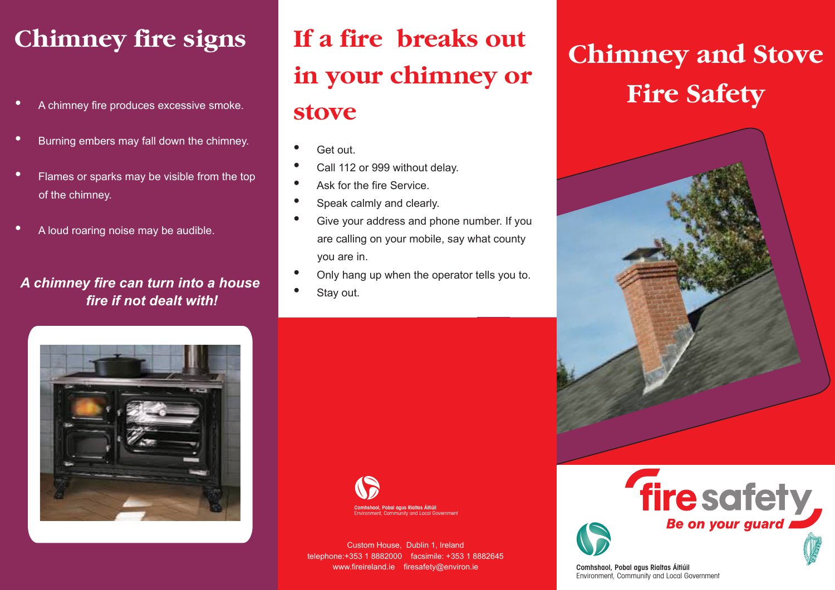# **Chimney fire signs**

- A chimney fire produces excessive smoke.
- Burning embers may fall down the chimney.
- Flames or sparks may be visible from the top of the chimney.
- A loud roaring noise may be audible.

#### *A chimney fire can turn into a house fire if not dealt with!*

# **If a fire breaks out in your chimney or**

#### **stove**

- Get out.
- Call 112 or 999 without delay.
- Ask for the fire Service
- Speak calmly and clearly.
- Give your address and phone number. If you are calling on your mobile, say what county you are in.
- Only hang up when the operator tells you to.
- Stay out.



Environment, Community and Local Government

Custom House, Dublin 1, Ireland telephone:+353 1 8882000 facsimile: +353 1 8882645 www.fireireland.ie firesafety@environ.ie

# **Chimney and Stove Fire Safety**





Environment, Community and Local Government Comhshaol, Pobal agus Rialtas Áitiúil